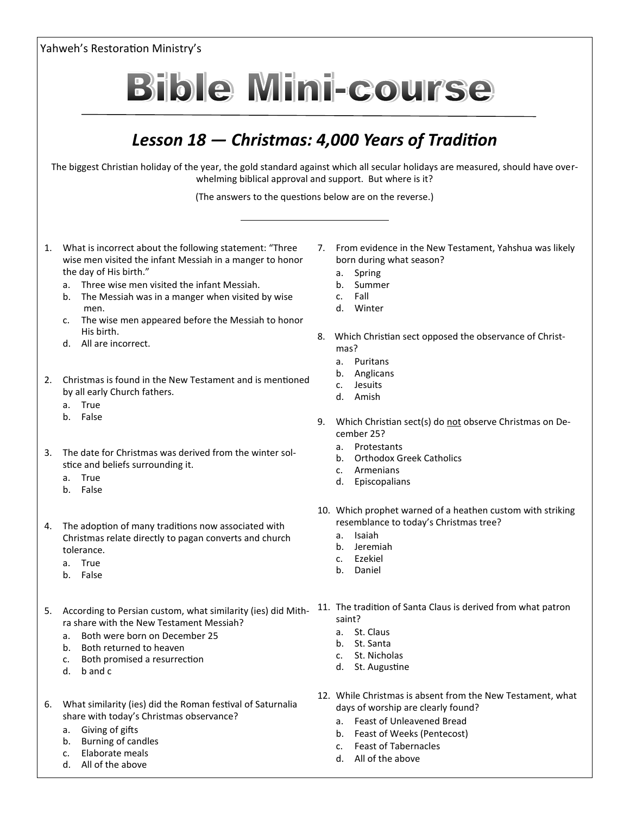Yahweh's Restoration Ministry's